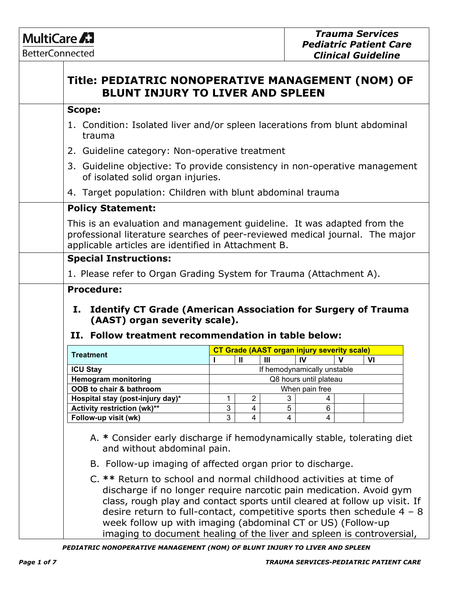# MultiCare A7

**BetterConnected**  $\top$ 

| trauma<br>of isolated solid organ injuries.<br>I.<br>(AAST) organ severity scale).<br>II. Follow treatment recommendation in table below:<br><b>Treatment</b><br>IV<br>$\mathbf{u}$<br>$\mathbf{III}$<br>$\mathbf v$ | 1. Condition: Isolated liver and/or spleen lacerations from blunt abdominal<br>2. Guideline category: Non-operative treatment<br>4. Target population: Children with blunt abdominal trauma<br><b>Policy Statement:</b><br>This is an evaluation and management guideline. It was adapted from the<br>professional literature searches of peer-reviewed medical journal. The major<br>applicable articles are identified in Attachment B.<br><b>Special Instructions:</b><br>1. Please refer to Organ Grading System for Trauma (Attachment A).<br><b>Procedure:</b><br><b>Identify CT Grade (American Association for Surgery of Trauma</b><br><b>CT Grade (AAST organ injury severity scale)</b><br>If hemodynamically unstable<br><b>ICU Stay</b><br><b>Hemogram monitoring</b><br>Q8 hours until plateau<br>OOB to chair & bathroom<br>When pain free<br>$\overline{2}$<br>3<br>Hospital stay (post-injury day)*<br>1<br>4<br>3<br>Activity restriction (wk)**<br>5<br>6<br>4 |                                                                            |  |  |  |  |    |
|----------------------------------------------------------------------------------------------------------------------------------------------------------------------------------------------------------------------|-----------------------------------------------------------------------------------------------------------------------------------------------------------------------------------------------------------------------------------------------------------------------------------------------------------------------------------------------------------------------------------------------------------------------------------------------------------------------------------------------------------------------------------------------------------------------------------------------------------------------------------------------------------------------------------------------------------------------------------------------------------------------------------------------------------------------------------------------------------------------------------------------------------------------------------------------------------------------------------|----------------------------------------------------------------------------|--|--|--|--|----|
|                                                                                                                                                                                                                      |                                                                                                                                                                                                                                                                                                                                                                                                                                                                                                                                                                                                                                                                                                                                                                                                                                                                                                                                                                                   |                                                                            |  |  |  |  |    |
|                                                                                                                                                                                                                      |                                                                                                                                                                                                                                                                                                                                                                                                                                                                                                                                                                                                                                                                                                                                                                                                                                                                                                                                                                                   |                                                                            |  |  |  |  |    |
|                                                                                                                                                                                                                      |                                                                                                                                                                                                                                                                                                                                                                                                                                                                                                                                                                                                                                                                                                                                                                                                                                                                                                                                                                                   | 3. Guideline objective: To provide consistency in non-operative management |  |  |  |  |    |
|                                                                                                                                                                                                                      |                                                                                                                                                                                                                                                                                                                                                                                                                                                                                                                                                                                                                                                                                                                                                                                                                                                                                                                                                                                   |                                                                            |  |  |  |  |    |
|                                                                                                                                                                                                                      |                                                                                                                                                                                                                                                                                                                                                                                                                                                                                                                                                                                                                                                                                                                                                                                                                                                                                                                                                                                   |                                                                            |  |  |  |  |    |
|                                                                                                                                                                                                                      |                                                                                                                                                                                                                                                                                                                                                                                                                                                                                                                                                                                                                                                                                                                                                                                                                                                                                                                                                                                   |                                                                            |  |  |  |  |    |
|                                                                                                                                                                                                                      |                                                                                                                                                                                                                                                                                                                                                                                                                                                                                                                                                                                                                                                                                                                                                                                                                                                                                                                                                                                   |                                                                            |  |  |  |  |    |
|                                                                                                                                                                                                                      |                                                                                                                                                                                                                                                                                                                                                                                                                                                                                                                                                                                                                                                                                                                                                                                                                                                                                                                                                                                   |                                                                            |  |  |  |  |    |
|                                                                                                                                                                                                                      |                                                                                                                                                                                                                                                                                                                                                                                                                                                                                                                                                                                                                                                                                                                                                                                                                                                                                                                                                                                   |                                                                            |  |  |  |  |    |
|                                                                                                                                                                                                                      |                                                                                                                                                                                                                                                                                                                                                                                                                                                                                                                                                                                                                                                                                                                                                                                                                                                                                                                                                                                   |                                                                            |  |  |  |  | VI |
|                                                                                                                                                                                                                      |                                                                                                                                                                                                                                                                                                                                                                                                                                                                                                                                                                                                                                                                                                                                                                                                                                                                                                                                                                                   |                                                                            |  |  |  |  |    |
|                                                                                                                                                                                                                      |                                                                                                                                                                                                                                                                                                                                                                                                                                                                                                                                                                                                                                                                                                                                                                                                                                                                                                                                                                                   |                                                                            |  |  |  |  |    |
|                                                                                                                                                                                                                      |                                                                                                                                                                                                                                                                                                                                                                                                                                                                                                                                                                                                                                                                                                                                                                                                                                                                                                                                                                                   |                                                                            |  |  |  |  |    |
| Follow-up visit (wk)<br>3<br>4<br>4<br>4                                                                                                                                                                             |                                                                                                                                                                                                                                                                                                                                                                                                                                                                                                                                                                                                                                                                                                                                                                                                                                                                                                                                                                                   |                                                                            |  |  |  |  |    |
| A. * Consider early discharge if hemodynamically stable, tolerating diet                                                                                                                                             |                                                                                                                                                                                                                                                                                                                                                                                                                                                                                                                                                                                                                                                                                                                                                                                                                                                                                                                                                                                   |                                                                            |  |  |  |  |    |
| and without abdominal pain.                                                                                                                                                                                          |                                                                                                                                                                                                                                                                                                                                                                                                                                                                                                                                                                                                                                                                                                                                                                                                                                                                                                                                                                                   |                                                                            |  |  |  |  |    |
| B. Follow-up imaging of affected organ prior to discharge.                                                                                                                                                           |                                                                                                                                                                                                                                                                                                                                                                                                                                                                                                                                                                                                                                                                                                                                                                                                                                                                                                                                                                                   |                                                                            |  |  |  |  |    |
|                                                                                                                                                                                                                      | C. ** Return to school and normal childhood activities at time of<br>discharge if no longer require narcotic pain medication. Avoid gym                                                                                                                                                                                                                                                                                                                                                                                                                                                                                                                                                                                                                                                                                                                                                                                                                                           |                                                                            |  |  |  |  |    |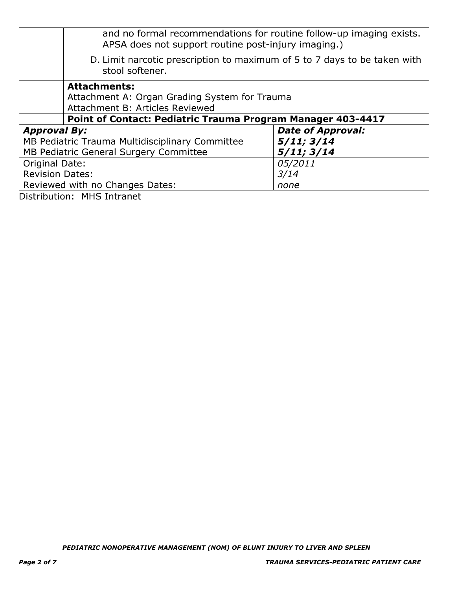|                        | and no formal recommendations for routine follow-up imaging exists.<br>APSA does not support routine post-injury imaging.) |                          |  |  |  |
|------------------------|----------------------------------------------------------------------------------------------------------------------------|--------------------------|--|--|--|
|                        | D. Limit narcotic prescription to maximum of 5 to 7 days to be taken with<br>stool softener.                               |                          |  |  |  |
|                        | <b>Attachments:</b><br>Attachment A: Organ Grading System for Trauma<br>Attachment B: Articles Reviewed                    |                          |  |  |  |
|                        | Point of Contact: Pediatric Trauma Program Manager 403-4417                                                                |                          |  |  |  |
| <b>Approval By:</b>    |                                                                                                                            | <b>Date of Approval:</b> |  |  |  |
|                        | 5/11; 3/14<br>MB Pediatric Trauma Multidisciplinary Committee                                                              |                          |  |  |  |
|                        | 5/11; 3/14<br>MB Pediatric General Surgery Committee                                                                       |                          |  |  |  |
|                        | 05/2011<br>Original Date:                                                                                                  |                          |  |  |  |
| <b>Revision Dates:</b> | 3/14                                                                                                                       |                          |  |  |  |
|                        | Reviewed with no Changes Dates:                                                                                            | none                     |  |  |  |

Distribution: MHS Intranet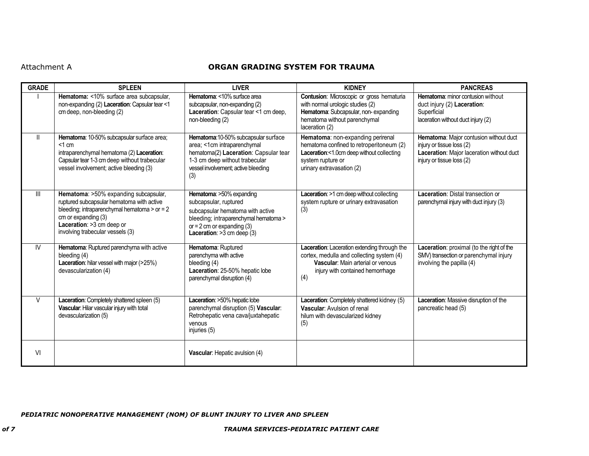### Attachment A **ORGAN GRADING SYSTEM FOR TRAUMA**

| <b>GRADE</b>  | <b>SPLEEN</b>                                                                                                                                                                                                                  | <b>LIVER</b>                                                                                                                                                                                   | <b>KIDNEY</b>                                                                                                                                                                | <b>PANCREAS</b>                                                                                                                               |
|---------------|--------------------------------------------------------------------------------------------------------------------------------------------------------------------------------------------------------------------------------|------------------------------------------------------------------------------------------------------------------------------------------------------------------------------------------------|------------------------------------------------------------------------------------------------------------------------------------------------------------------------------|-----------------------------------------------------------------------------------------------------------------------------------------------|
|               | Hematoma: <10% surface area subcapsular,<br>non-expanding (2) Laceration: Capsular tear <1<br>cm deep, non-bleeding (2)                                                                                                        | Hematoma: <10% surface area<br>subcapsular, non-expanding (2)<br>Laceration: Capsular tear <1 cm deep,<br>non-bleeding (2)                                                                     | Contusion: Microscopic or gross hematuria<br>with normal urologic studies (2)<br>Hematoma: Subcapsular, non-expanding<br>hematoma without parenchymal<br>laceration (2)      | Hematoma: minor contusion without<br>duct injury (2) Laceration:<br>Superficial<br>laceration without duct injury (2)                         |
| $\mathbf{II}$ | Hematoma: 10-50% subcapsular surface area;<br>$<1$ cm<br>intraparenchymal hematoma (2) Laceration:<br>Capsular tear 1-3 cm deep without trabecular<br>vessel involvement; active bleeding (3)                                  | Hematoma:10-50% subcapsular surface<br>area; <1cm intraparenchymal<br>hematoma(2) Laceration: Capsular tear<br>1-3 cm deep without trabecular<br>vessel involvement; active bleeding<br>(3)    | Hematoma: non-expanding perirenal<br>hematoma confined to retroperitoneum (2)<br>Laceration:<1.0cm deep without collecting<br>system rupture or<br>urinary extravasation (2) | Hematoma: Major contusion without duct<br>injury or tissue loss (2)<br>Laceration: Major laceration without duct<br>injury or tissue loss (2) |
| III           | Hematoma: >50% expanding subcapsular,<br>ruptured subcapsular hematoma with active<br>bleeding; intraparenchymal hematoma $>$ or $=$ 2<br>cm or expanding (3)<br>Laceration: >3 cm deep or<br>involving trabecular vessels (3) | Hematoma: >50% expanding<br>subcapsular, ruptured<br>subcapsular hematoma with active<br>bleeding; intraparenchymal hematoma ><br>or = $2$ cm or expanding (3)<br>Laceration: $>3$ cm deep (3) | Laceration: >1 cm deep without collecting<br>system rupture or urinary extravasation<br>(3)                                                                                  | Laceration: Distal transection or<br>parenchymal injury with duct injury (3)                                                                  |
| IV            | Hematoma: Ruptured parenchyma with active<br>bleeding (4)<br>Laceration: hilar vessel with major (>25%)<br>devascularization (4)                                                                                               | Hematoma: Ruptured<br>parenchyma with active<br>bleeding (4)<br>Laceration: 25-50% hepatic lobe<br>parenchymal disruption (4)                                                                  | Laceration: Laceration extending through the<br>cortex, medulla and collecting system (4)<br>Vascular: Main arterial or venous<br>injury with contained hemorrhage<br>(4)    | Laceration: proximal (to the right of the<br>SMV) transection or parenchymal injury<br>involving the papilla (4)                              |
| $\vee$        | Laceration: Completely shattered spleen (5)<br>Vascular: Hilar vascular injury with total<br>devascularization (5)                                                                                                             | Laceration: >50% hepatic lobe<br>parenchymal disruption (5) Vascular:<br>Retrohepatic vena cava/juxtahepatic<br>venous<br>injuries (5)                                                         | Laceration: Completely shattered kidney (5)<br>Vascular: Avulsion of renal<br>hilum with devascularized kidney<br>(5)                                                        | Laceration: Massive disruption of the<br>pancreatic head (5)                                                                                  |
| VI            |                                                                                                                                                                                                                                | Vascular: Hepatic avulsion (4)                                                                                                                                                                 |                                                                                                                                                                              |                                                                                                                                               |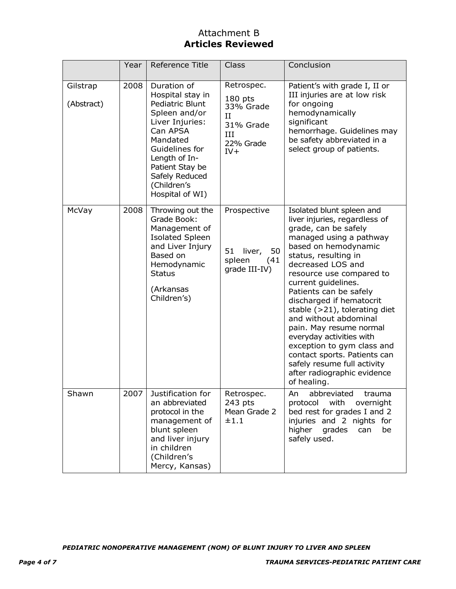## Attachment B **Articles Reviewed**

|                        | Year | Reference Title                                                                                                                                                                                                          | Class                                                                               | Conclusion                                                                                                                                                                                                                                                                                                                                                                                                                                                                                                                                                 |
|------------------------|------|--------------------------------------------------------------------------------------------------------------------------------------------------------------------------------------------------------------------------|-------------------------------------------------------------------------------------|------------------------------------------------------------------------------------------------------------------------------------------------------------------------------------------------------------------------------------------------------------------------------------------------------------------------------------------------------------------------------------------------------------------------------------------------------------------------------------------------------------------------------------------------------------|
| Gilstrap<br>(Abstract) | 2008 | Duration of<br>Hospital stay in<br>Pediatric Blunt<br>Spleen and/or<br>Liver Injuries:<br>Can APSA<br>Mandated<br>Guidelines for<br>Length of In-<br>Patient Stay be<br>Safely Reduced<br>(Children's<br>Hospital of WI) | Retrospec.<br>$180$ pts<br>33% Grade<br>II<br>31% Grade<br>ИI<br>22% Grade<br>$IV+$ | Patient's with grade I, II or<br>III injuries are at low risk<br>for ongoing<br>hemodynamically<br>significant<br>hemorrhage. Guidelines may<br>be safety abbreviated in a<br>select group of patients.                                                                                                                                                                                                                                                                                                                                                    |
| McVay                  | 2008 | Throwing out the<br>Grade Book:<br>Management of<br><b>Isolated Spleen</b><br>and Liver Injury<br>Based on<br>Hemodynamic<br><b>Status</b><br>(Arkansas<br>Children's)                                                   | Prospective<br>51<br>liver,<br>50<br>spleen<br>(41)<br>grade III-IV)                | Isolated blunt spleen and<br>liver injuries, regardless of<br>grade, can be safely<br>managed using a pathway<br>based on hemodynamic<br>status, resulting in<br>decreased LOS and<br>resource use compared to<br>current guidelines.<br>Patients can be safely<br>discharged if hematocrit<br>stable $(>21)$ , tolerating diet<br>and without abdominal<br>pain. May resume normal<br>everyday activities with<br>exception to gym class and<br>contact sports. Patients can<br>safely resume full activity<br>after radiographic evidence<br>of healing. |
| Shawn                  | 2007 | Justification for<br>an abbreviated<br>protocol in the<br>management of<br>blunt spleen<br>and liver injury<br>in children<br>(Children's<br>Mercy, Kansas)                                                              | Retrospec.<br>243 pts<br>Mean Grade 2<br>±1.1                                       | An<br>abbreviated<br>trauma<br>with<br>overnight<br>protocol<br>bed rest for grades I and 2<br>injuries and 2 nights for<br>higher<br>grades<br>can<br>be<br>safely used.                                                                                                                                                                                                                                                                                                                                                                                  |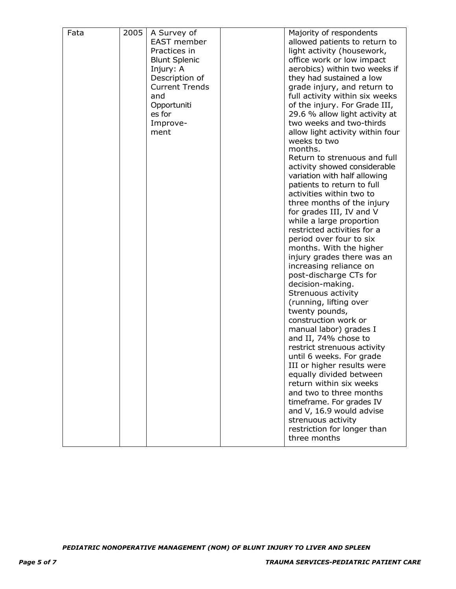| Fata | 2005 | A Survey of           | Majority of respondents          |
|------|------|-----------------------|----------------------------------|
|      |      | <b>EAST</b> member    | allowed patients to return to    |
|      |      | Practices in          | light activity (housework,       |
|      |      | <b>Blunt Splenic</b>  | office work or low impact        |
|      |      | Injury: A             | aerobics) within two weeks if    |
|      |      | Description of        | they had sustained a low         |
|      |      | <b>Current Trends</b> | grade injury, and return to      |
|      |      | and                   | full activity within six weeks   |
|      |      | Opportuniti           | of the injury. For Grade III,    |
|      |      | es for                | 29.6 % allow light activity at   |
|      |      | Improve-              | two weeks and two-thirds         |
|      |      | ment                  | allow light activity within four |
|      |      |                       | weeks to two                     |
|      |      |                       | months.                          |
|      |      |                       | Return to strenuous and full     |
|      |      |                       | activity showed considerable     |
|      |      |                       | variation with half allowing     |
|      |      |                       | patients to return to full       |
|      |      |                       | activities within two to         |
|      |      |                       | three months of the injury       |
|      |      |                       | for grades III, IV and V         |
|      |      |                       | while a large proportion         |
|      |      |                       | restricted activities for a      |
|      |      |                       | period over four to six          |
|      |      |                       | months. With the higher          |
|      |      |                       | injury grades there was an       |
|      |      |                       | increasing reliance on           |
|      |      |                       | post-discharge CTs for           |
|      |      |                       | decision-making.                 |
|      |      |                       | Strenuous activity               |
|      |      |                       | (running, lifting over           |
|      |      |                       | twenty pounds,                   |
|      |      |                       | construction work or             |
|      |      |                       | manual labor) grades I           |
|      |      |                       | and II, 74% chose to             |
|      |      |                       | restrict strenuous activity      |
|      |      |                       | until 6 weeks. For grade         |
|      |      |                       | III or higher results were       |
|      |      |                       | equally divided between          |
|      |      |                       | return within six weeks          |
|      |      |                       | and two to three months          |
|      |      |                       | timeframe. For grades IV         |
|      |      |                       | and V, 16.9 would advise         |
|      |      |                       | strenuous activity               |
|      |      |                       | restriction for longer than      |
|      |      |                       | three months                     |
|      |      |                       |                                  |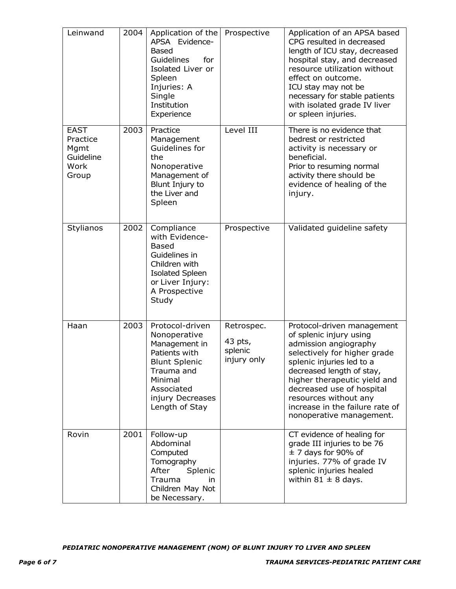| Leinwand                                                      | 2004 | Application of the<br>APSA Evidence-<br><b>Based</b><br>Guidelines<br>for<br>Isolated Liver or<br>Spleen<br>Injuries: A<br>Single<br>Institution<br>Experience         | Prospective                                     | Application of an APSA based<br>CPG resulted in decreased<br>length of ICU stay, decreased<br>hospital stay, and decreased<br>resource utilization without<br>effect on outcome.<br>ICU stay may not be<br>necessary for stable patients<br>with isolated grade IV liver<br>or spleen injuries.                               |
|---------------------------------------------------------------|------|------------------------------------------------------------------------------------------------------------------------------------------------------------------------|-------------------------------------------------|-------------------------------------------------------------------------------------------------------------------------------------------------------------------------------------------------------------------------------------------------------------------------------------------------------------------------------|
| <b>EAST</b><br>Practice<br>Mgmt<br>Guideline<br>Work<br>Group | 2003 | Practice<br>Management<br>Guidelines for<br>the<br>Nonoperative<br>Management of<br>Blunt Injury to<br>the Liver and<br>Spleen                                         | Level III                                       | There is no evidence that<br>bedrest or restricted<br>activity is necessary or<br>beneficial.<br>Prior to resuming normal<br>activity there should be<br>evidence of healing of the<br>injury.                                                                                                                                |
| Stylianos                                                     | 2002 | Compliance<br>with Evidence-<br><b>Based</b><br>Guidelines in<br>Children with<br><b>Isolated Spleen</b><br>or Liver Injury:<br>A Prospective<br>Study                 | Prospective                                     | Validated guideline safety                                                                                                                                                                                                                                                                                                    |
| Haan                                                          | 2003 | Protocol-driven<br>Nonoperative<br>Management in<br>Patients with<br><b>Blunt Splenic</b><br>Trauma and<br>Minimal<br>Associated<br>injury Decreases<br>Length of Stay | Retrospec.<br>43 pts,<br>splenic<br>injury only | Protocol-driven management<br>of splenic injury using<br>admission angiography<br>selectively for higher grade<br>splenic injuries led to a<br>decreased length of stay,<br>higher therapeutic yield and<br>decreased use of hospital<br>resources without any<br>increase in the failure rate of<br>nonoperative management. |
| Rovin                                                         | 2001 | Follow-up<br>Abdominal<br>Computed<br>Tomography<br>After<br>Splenic<br>Trauma<br>in<br>Children May Not<br>be Necessary.                                              |                                                 | CT evidence of healing for<br>grade III injuries to be 76<br>$\pm$ 7 days for 90% of<br>injuries. 77% of grade IV<br>splenic injuries healed<br>within 81 $\pm$ 8 days.                                                                                                                                                       |